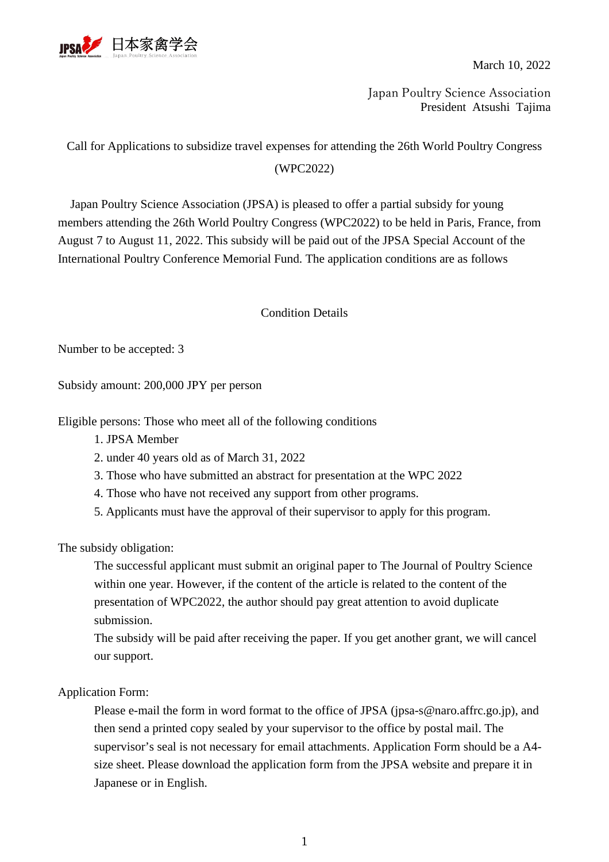

March 10, 2022

Japan Poultry Science Association President Atsushi Tajima

## Call for Applications to subsidize travel expenses for attending the 26th World Poultry Congress

(WPC2022)

Japan Poultry Science Association (JPSA) is pleased to offer a partial subsidy for young members attending the 26th World Poultry Congress (WPC2022) to be held in Paris, France, from August 7 to August 11, 2022. This subsidy will be paid out of the JPSA Special Account of the International Poultry Conference Memorial Fund. The application conditions are as follows

Condition Details

Number to be accepted: 3

Subsidy amount: 200,000 JPY per person

Eligible persons: Those who meet all of the following conditions

- 1. JPSA Member
- 2. under 40 years old as of March 31, 2022
- 3. Those who have submitted an abstract for presentation at the WPC 2022
- 4. Those who have not received any support from other programs.
- 5. Applicants must have the approval of their supervisor to apply for this program.

The subsidy obligation:

The successful applicant must submit an original paper to The Journal of Poultry Science within one year. However, if the content of the article is related to the content of the presentation of WPC2022, the author should pay great attention to avoid duplicate submission.

The subsidy will be paid after receiving the paper. If you get another grant, we will cancel our support.

Application Form:

Please e-mail the form in word format to the office of JPSA (jpsa-s@naro.affrc.go.jp), and then send a printed copy sealed by your supervisor to the office by postal mail. The supervisor's seal is not necessary for email attachments. Application Form should be a A4 size sheet. Please download the application form from the JPSA website and prepare it in Japanese or in English.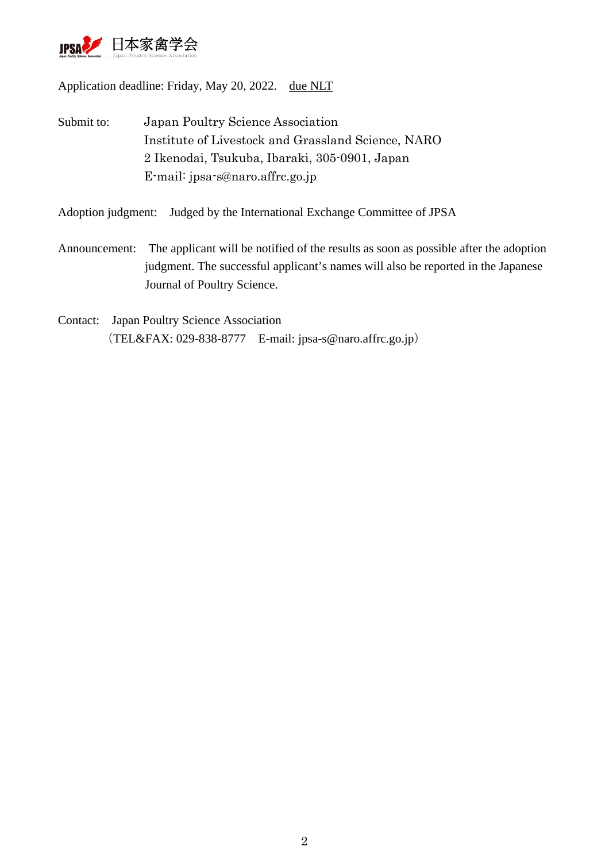

Application deadline: Friday, May 20, 2022. [due](https://eow.alc.co.jp/search?q=due&ref=awlj) [NLT](https://eow.alc.co.jp/search?q=NLT&ref=awlj)

Submit to: Japan Poultry Science Association Institute of Livestock and Grassland Science, NARO 2 Ikenodai, Tsukuba, Ibaraki, 305-0901, Japan E-mail: jpsa-s@naro.affrc.go.jp

Adoption judgment: Judged by the International Exchange Committee of JPSA

- Announcement: The applicant will be notified of the results as soon as possible after the adoption judgment. The successful applicant's names will also be reported in the Japanese Journal of Poultry Science.
- Contact: Japan Poultry Science Association (TEL&FAX: 029-838-8777 E-mail: jpsa-s@naro.affrc.go.jp)